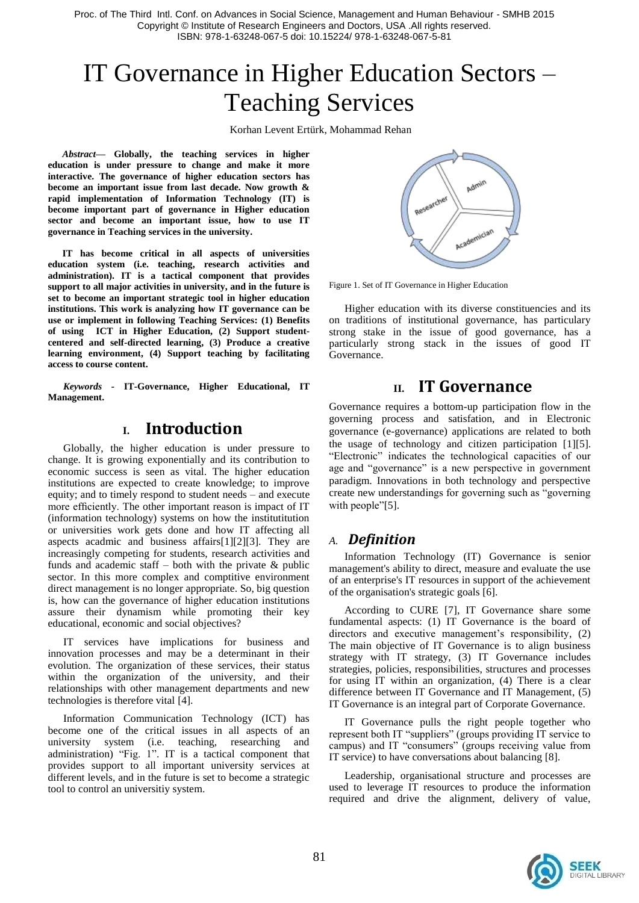# IT Governance in Higher Education Sectors – Teaching Services

Korhan Levent Ertürk, Mohammad Rehan

*Abstract***— Globally, the teaching services in higher education is under pressure to change and make it more interactive. The governance of higher education sectors has become an important issue from last decade. Now growth & rapid implementation of Information Technology (IT) is become important part of governance in Higher education sector and become an important issue, how to use IT governance in Teaching services in the university.**

**IT has become critical in all aspects of universities education system (i.e. teaching, research activities and administration). IT is a tactical component that provides support to all major activities in university, and in the future is set to become an important strategic tool in higher education institutions. This work is analyzing how IT governance can be use or implement in following Teaching Services: (1) Benefits of using ICT in Higher Education, (2) Support studentcentered and self-directed learning, (3) Produce a creative learning environment, (4) Support teaching by facilitating access to course content.**

*Keywords -* **IT-Governance, Higher Educational, IT Management.**

# **I. Introduction**

Globally, the higher education is under pressure to change. It is growing exponentially and its contribution to economic success is seen as vital. The higher education institutions are expected to create knowledge; to improve equity; and to timely respond to student needs – and execute more efficiently. The other important reason is impact of IT (information technology) systems on how the institutitution or universities work gets done and how IT affecting all aspects acadmic and business affairs[1][2][3]. They are increasingly competing for students, research activities and funds and academic staff – both with the private  $\&$  public sector. In this more complex and comptitive environment direct management is no longer appropriate. So, big question is, how can the governance of higher education institutions assure their dynamism while promoting their key educational, economic and social objectives?

IT services have implications for business and innovation processes and may be a determinant in their evolution. The organization of these services, their status within the organization of the university, and their relationships with other management departments and new technologies is therefore vital [4].

Information Communication Technology (ICT) has become one of the critical issues in all aspects of an university system (i.e. teaching, researching and administration) "Fig. 1". IT is a tactical component that provides support to all important university services at different levels, and in the future is set to become a strategic tool to control an universitiy system.



Figure 1. Set of IT Governance in Higher Education

Higher education with its diverse constituencies and its on traditions of institutional governance, has particulary strong stake in the issue of good governance, has a particularly strong stack in the issues of good IT Governance.

# **II. IT Governance**

Governance requires a bottom-up participation flow in the governing process and satisfation, and in Electronic governance (e-governance) applications are related to both the usage of technology and citizen participation [1][5]. "Electronic" indicates the technological capacities of our age and "governance" is a new perspective in government paradigm. Innovations in both technology and perspective create new understandings for governing such as "governing with people"[5].

## *A. Definition*

Information Technology (IT) Governance is senior management's ability to direct, measure and evaluate the use of an enterprise's IT resources in support of the achievement of the organisation's strategic goals [6].

According to CURE [7], IT Governance share some fundamental aspects: (1) IT Governance is the board of directors and executive management's responsibility, (2) The main objective of IT Governance is to align business strategy with IT strategy, (3) IT Governance includes strategies, policies, responsibilities, structures and processes for using IT within an organization, (4) There is a clear difference between IT Governance and IT Management, (5) IT Governance is an integral part of Corporate Governance.

IT Governance pulls the right people together who represent both IT "suppliers" (groups providing IT service to campus) and IT "consumers" (groups receiving value from IT service) to have conversations about balancing [8].

Leadership, organisational structure and processes are used to leverage IT resources to produce the information required and drive the alignment, delivery of value,

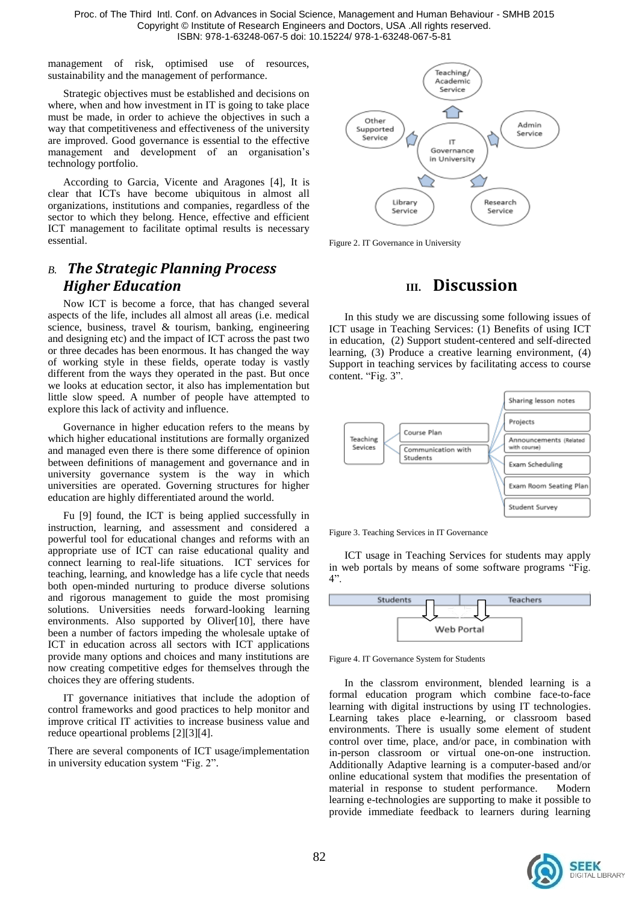management of risk, optimised use of resources, sustainability and the management of performance.

Strategic objectives must be established and decisions on where, when and how investment in IT is going to take place must be made, in order to achieve the objectives in such a way that competitiveness and effectiveness of the university are improved. Good governance is essential to the effective management and development of an organisation's technology portfolio.

According to Garcia, Vicente and Aragones [4], It is clear that ICTs have become ubiquitous in almost all organizations, institutions and companies, regardless of the sector to which they belong. Hence, effective and efficient ICT management to facilitate optimal results is necessary essential.

# *B. The Strategic Planning Process Higher Education*

Now ICT is become a force, that has changed several aspects of the life, includes all almost all areas (i.e. medical science, business, travel & tourism, banking, engineering and designing etc) and the impact of ICT across the past two or three decades has been enormous. It has changed the way of working style in these fields, operate today is vastly different from the ways they operated in the past. But once we looks at education sector, it also has implementation but little slow speed. A number of people have attempted to explore this lack of activity and influence.

Governance in higher education refers to the means by which higher educational institutions are formally organized and managed even there is there some difference of opinion between definitions of management and governance and in university governance system is the way in which universities are operated. Governing structures for higher education are highly differentiated around the world.

Fu [9] found, the ICT is being applied successfully in instruction, learning, and assessment and considered a powerful tool for educational changes and reforms with an appropriate use of ICT can raise educational quality and connect learning to real-life situations. ICT services for teaching, learning, and knowledge has a life cycle that needs both open-minded nurturing to produce diverse solutions and rigorous management to guide the most promising solutions. Universities needs forward-looking learning environments. Also supported by Oliver[10], there have been a number of factors impeding the wholesale uptake of ICT in education across all sectors with ICT applications provide many options and choices and many institutions are now creating competitive edges for themselves through the choices they are offering students.

IT governance initiatives that include the adoption of control frameworks and good practices to help monitor and improve critical IT activities to increase business value and reduce opeartional problems [2][3][4].

There are several components of ICT usage/implementation in university education system "Fig. 2".



Figure 2. IT Governance in University

# **III. Discussion**

In this study we are discussing some following issues of ICT usage in Teaching Services: (1) Benefits of using ICT in education, (2) Support student-centered and self-directed learning, (3) Produce a creative learning environment, (4) Support in teaching services by facilitating access to course content. "Fig. 3".



Figure 3. Teaching Services in IT Governance

ICT usage in Teaching Services for students may apply in web portals by means of some software programs "Fig. 4".



Figure 4. IT Governance System for Students

In the classrom environment, blended learning is a formal education program which combine face-to-face learning with digital instructions by using IT technologies. Learning takes place e-learning, or classroom based environments. There is usually some element of student control over time, place, and/or pace, in combination with in-person classroom or virtual one-on-one instruction. Additionally Adaptive learning is a computer-based and/or online educational system that modifies the presentation of material in response to student performance. Modern learning e-technologies are supporting to make it possible to provide immediate feedback to learners during learning

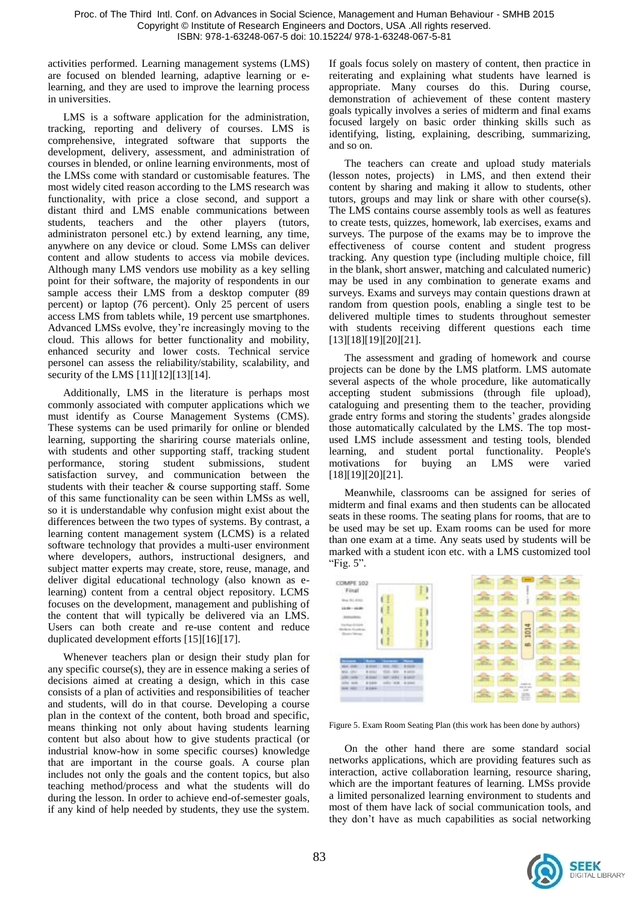activities performed. Learning management systems (LMS) are focused on blended learning, adaptive learning or elearning, and they are used to improve the learning process in universities.

LMS is a software application for the administration, tracking, reporting and delivery of courses. LMS is comprehensive, integrated software that supports the development, delivery, assessment, and administration of courses in blended, or online learning environments, most of the LMSs come with standard or customisable features. The most widely cited reason according to the LMS research was functionality, with price a close second, and support a distant third and LMS enable communications between students, teachers and the other players (tutors, administraton personel etc.) by extend learning, any time, anywhere on any device or cloud. Some LMSs can deliver content and allow students to access via mobile devices. Although many LMS vendors use mobility as a key selling point for their software, the majority of respondents in our sample access their LMS from a desktop computer (89 percent) or laptop (76 percent). Only 25 percent of users access LMS from tablets while, 19 percent use smartphones. Advanced LMSs evolve, they're increasingly moving to the cloud. This allows for better functionality and mobility, enhanced security and lower costs. Technical service personel can assess the reliability/stability, scalability, and security of the LMS [11][12][13][14].

Additionally, LMS in the literature is perhaps most commonly associated with computer applications which we must identify as Course Management Systems (CMS). These systems can be used primarily for online or blended learning, supporting the shariring course materials online, with students and other supporting staff, tracking student performance, storing student submissions, student satisfaction survey, and communication between the students with their teacher & course supporting staff. Some of this same functionality can be seen within LMSs as well, so it is understandable why confusion might exist about the differences between the two types of systems. By contrast, a learning content management system (LCMS) is a related software technology that provides a multi-user environment where developers, authors, instructional designers, and subject matter experts may create, store, reuse, manage, and deliver digital educational technology (also known as elearning) content from a central object repository. LCMS focuses on the development, management and publishing of the content that will typically be delivered via an LMS. Users can both create and re-use content and reduce duplicated development efforts [15][16][17].

Whenever teachers plan or design their study plan for any specific course(s), they are in essence making a series of decisions aimed at creating a design, which in this case consists of a plan of activities and responsibilities of teacher and students, will do in that course. Developing a course plan in the context of the content, both broad and specific, means thinking not only about having students learning content but also about how to give students practical (or industrial know-how in some specific courses) knowledge that are important in the course goals. A course plan includes not only the goals and the content topics, but also teaching method/process and what the students will do during the lesson. In order to achieve end-of-semester goals, if any kind of help needed by students, they use the system. If goals focus solely on mastery of content, then practice in reiterating and explaining what students have learned is appropriate. Many courses do this. During course, demonstration of achievement of these content mastery goals typically involves a series of midterm and final exams focused largely on basic order thinking skills such as identifying, listing, explaining, describing, summarizing, and so on.

The teachers can create and upload study materials (lesson notes, projects) in LMS, and then extend their content by sharing and making it allow to students, other tutors, groups and may link or share with other course(s). The LMS contains course assembly tools as well as features to create tests, quizzes, homework, lab exercises, exams and surveys. The purpose of the exams may be to improve the effectiveness of course content and student progress tracking. Any question type (including multiple choice, fill in the blank, short answer, matching and calculated numeric) may be used in any combination to generate exams and surveys. Exams and surveys may contain questions drawn at random from question pools, enabling a single test to be delivered multiple times to students throughout semester with students receiving different questions each time [13][18][19][20][21].

The assessment and grading of homework and course projects can be done by the LMS platform. LMS automate several aspects of the whole procedure, like automatically accepting student submissions (through file upload), cataloguing and presenting them to the teacher, providing grade entry forms and storing the students' grades alongside those automatically calculated by the LMS. The top mostused LMS include assessment and testing tools, blended learning, and student portal functionality. People's motivations for buying an LMS were varied [18][19][20][21].

Meanwhile, classrooms can be assigned for series of midterm and final exams and then students can be allocated seats in these rooms. The seating plans for rooms, that are to be used may be set up. Exam rooms can be used for more than one exam at a time. Any seats used by students will be marked with a student icon etc. with a LMS customized tool "Fig. 5".

| COMPE 102<br>Final<br>New Atl Anti-   |                                                                   |                         | ä      |              |                                 | ÷      |  |
|---------------------------------------|-------------------------------------------------------------------|-------------------------|--------|--------------|---------------------------------|--------|--|
| 13.54 - 16.85<br>÷<br><b>SHOW</b>     |                                                                   |                         | ۱      |              |                                 |        |  |
|                                       |                                                                   |                         | 1<br>۱ |              | 1014                            |        |  |
|                                       |                                                                   |                         | ۱      | <b>STATE</b> | ab.                             |        |  |
| -<br>$2016 - 2745$                    | <b>William</b>                                                    | <b>R</b> manner         |        |              |                                 | $\sim$ |  |
| <b>BILE-1250</b><br>USE GON<br>aix as | --<br>$-484$<br>4 land<br>$\sim$<br>$190 - 300$ $-3000$<br>& page | $-0.01$<br><b>A MAI</b> |        |              |                                 |        |  |
| 414, 903                              | <b>R199</b>                                                       |                         |        |              | $80.8 - 80.$<br><b>SOF</b><br>픈 |        |  |

Figure 5. Exam Room Seating Plan (this work has been done by authors)

On the other hand there are some standard social networks applications, which are providing features such as interaction, active collaboration learning, resource sharing, which are the important features of learning. LMSs provide a limited personalized learning environment to students and most of them have lack of social communication tools, and they don't have as much capabilities as social networking